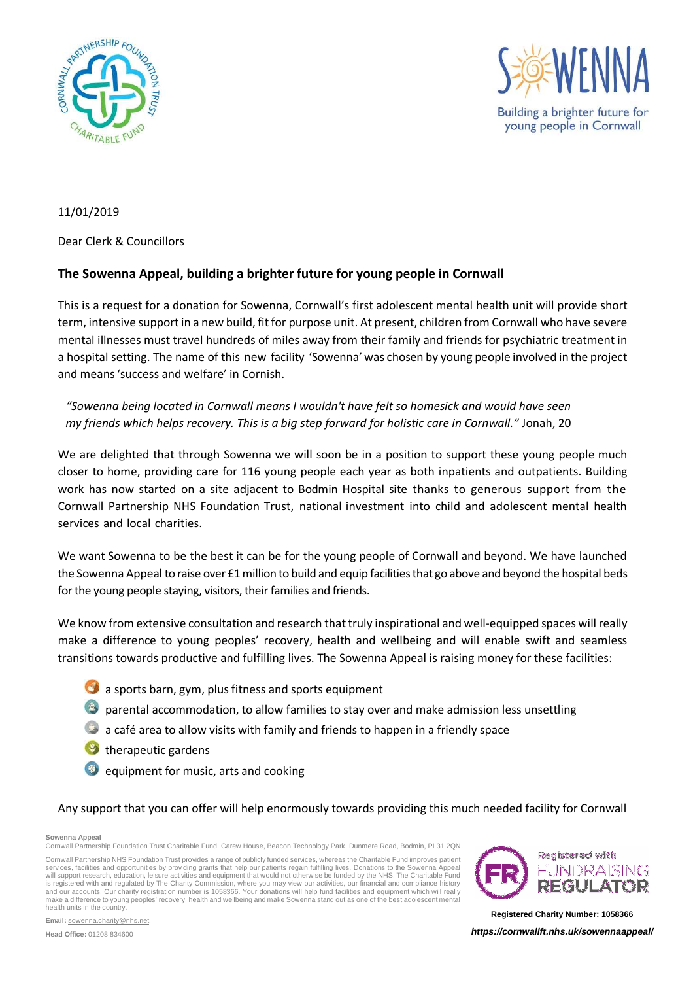



## 11/01/2019

Dear Clerk & Councillors

## The Sowenna Appeal, building a brighter future for young people in Cornwall

This is a request for a donation for Sowenna, Cornwall's first adolescent mental health unit will provide short term, intensive support in a new build, fit for purpose unit. At present, children from Cornwall who have severe mental illnesses must travel hundreds of miles away from their family and friends for psychiatric treatment in a hospital setting. The name of this new facility 'Sowenna' was chosen by young people involved in the project and means 'success and welfare' in Cornish.

"Sowenna being located in Cornwall means I wouldn't have felt so homesick and would have seen my friends which helps recovery. This is a big step forward for holistic care in Cornwall." Jonah, 20

We are delighted that through Sowenna we will soon be in a position to support these young people much closer to home, providing care for 116 young people each year as both inpatients and outpatients. Building work has now started on a site adjacent to Bodmin Hospital site thanks to generous support from the Cornwall Partnership NHS Foundation Trust, national investment into child and adolescent mental health services and local charities.

We want Sowenna to be the best it can be for the young people of Cornwall and beyond. We have launched the Sowenna Appeal to raise over £1 million to build and equip facilities that go above and beyond the hospital beds for the young people staying, visitors, their families and friends.

We know from extensive consultation and research that truly inspirational and well-equipped spaces will really make a difference to young peoples' recovery, health and wellbeing and will enable swift and seamless transitions towards productive and fulfilling lives. The Sowenna Appeal is raising money for these facilities:

- **a** a sports barn, gym, plus fitness and sports equipment
- **O** parental accommodation, to allow families to stay over and make admission less unsettling
- **a** a café area to allow visits with family and friends to happen in a friendly space
- $\bullet$  therapeutic gardens
- **E** equipment for music, arts and cooking

## Any support that you can offer will help enormously towards providing this much needed facility for Cornwall

## **Sowenna Appeal**

Cornwall Partnership Foundation Trust Charitable Fund, Carew House, Beacon Technology Park, Dunmere Road, Bodmin, PL31 2QN

Cornwall Partnership NHS Foundation Trust provides a range of publicly funded services, whereas the Charitable Fund improves patient services, facilities and opportunities by providing grants that help our patients regain fulfilling lives. Donations to the Sowenna Appeal will support research, education, leisure activities and equipment that would not otherwise be funded by the NHS. The Charitable Fund<br>is registered with and regulated by The Charity Commission, where you may view our activ and our accounts. Our charity registration number is 1058366. Your donations will help fund facilities and equipment which will really make a difference to young peoples' recovery, health and wellbeing and make Sowenna stand out as one of the best adolescent mental health units in the country.



**Email:** sowenna.charity@nhs.net **Head Office:** 01208 834600

**Registered Charity Number: 1058366 https://cornwallft.nhs.uk/sowennaappeal/**